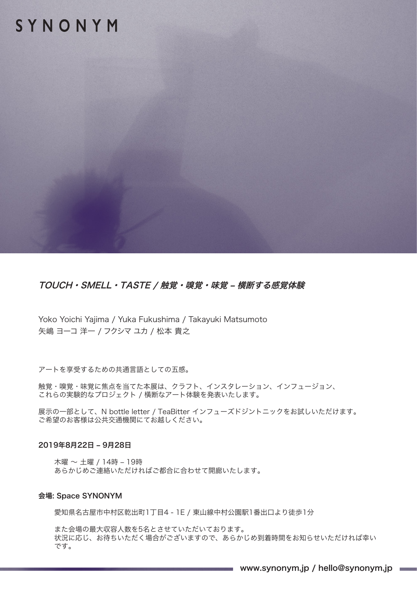## SYNONYM

### TOUCH・SMELL・TASTE / 触覚・嗅覚・味覚 – 横断する感覚体験

Yoko Yoichi Yajima / Yuka Fukushima / Takayuki Matsumoto 矢嶋 ヨーコ 洋一 / フクシマ ユカ / 松本 貴之

アートを享受するための共通言語としての五感。

触覚・嗅覚・味覚に焦点を当てた本展は、クラフト、インスタレーション、インフュージョン、 これらの実験的なプロジェクト / 橫断なアート体験を発表いたします。

展示の一部として、N bottle letter / TeaBitter インフューズドジントニックをお試しいただけます。 ご希望のお客様は公共交通機関にてお越しください。

### 2019年8月22日 – 9月28日

木曜 〜 土曜 / 14時 – 19時 あらかじめご連絡いただければご都合に合わせて開廊いたします。

#### 会場: Space SYNONYM

愛知県名古屋市中村区乾出町1丁目4 - 1E / 東山線中村公園駅1番出口より徒歩1分

また会場の最大収容人数を5名とさせていただいております。 状況に応じ、お待ちいただく場合がございますので、あらかじめ到着時間をお知らせいただければ幸い です。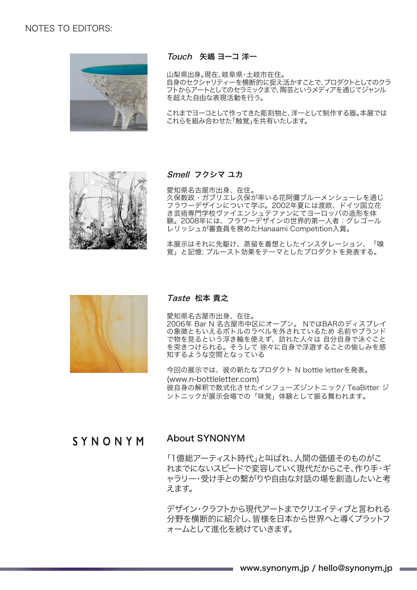### NOTES TO EDITORS:



### Touch 矢嶋 ヨーコ 洋一

山梨県出身。現在、岐阜県・土岐市在住。

自身のセクシャリティーを横断的に捉え活かすことで、プロダクトとしてのクラ フトからアートとしてのセラミックまで、陶芸というメディアを通じてジャンル を超えた自由な表現活動を行う。

これまでヨーコとして作ってきた彫刻物と、洋一として制作する器。本展では これらを組み合わせた「触覚」を共有いたします。



### Smell フクシマ ユカ

愛知県名古屋市出身、在住。 久保数政・ガブリエレ久保が率いる花阿彌ブルーメンシューレを通じ フラワーデザインについて学ぶ。2002年夏には渡欧、ドイツ国立花 き芸術専門学校ヴァイエンシュテファンにてヨーロッパの造形を体 験。2008年には、フラワーデザインの世界的第一人者:グレゴール レリッシュが審査員を務めたHanaami Competition入賞。

本展示はそれに先駆け、蒸留を着想としたインスタレーション、「嗅 覚」と記憶: プルースト効果をテーマとしたプロダクトを発表する。



#### Taste 松本 貴之

愛知県名古屋市出身、在住。 2006年 Bar N 名古屋市中区にオープン。 NではBARのディスプレイ の象徴ともいえるボトルのラベルを外されているため 名前やブランド で物を見るという浮き輪を使えず、訪れた人々は 自分自身で泳ぐこと を突きつけられる。そうして 徐々に自身で浮遊することの愉しみを感 知するような空間となっている

今回の展示では、彼の新たなプロダクト N bottle letterを発表。 (www.n-bottleletter.com) 彼自身の解釈で数式化させたインフューズジントニック/ TeaBitter ジ ントニックが展示会場での「味覚」体験として振る舞われます。

## SYNONYM

### About SYNONYM

「1億総アーティスト時代」と叫ばれ、人間の価値そのものがこ れまでにないスピードで変容していく現代だからこそ、作り手・ギ ャラリー・受け手との繋がりや自由な対話の場を創造したいと考 えます。

デザイン・クラフトから現代アートまでクリエイティブと言われる 分野を横断的に紹介し、皆様を日本から世界へと導くプラットフ ォームとして進化を続けていきます。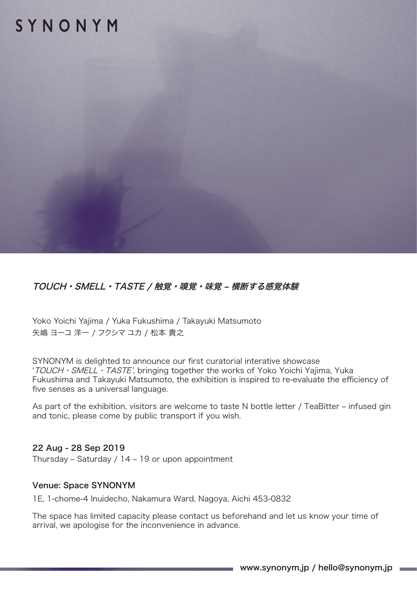# SYNONYM

## TOUCH・SMELL・TASTE / 触覚・嗅覚・味覚 – 横断する感覚体験

Yoko Yoichi Yajima / Yuka Fukushima / Takayuki Matsumoto 矢嶋 ヨーコ 洋一 / フクシマ ユカ / 松本 貴之

SYNONYM is delighted to announce our first curatorial interative showcase 'TOUCH・SMELL・TASTE', bringing together the works of Yoko Yoichi Yajima, Yuka Fukushima and Takayuki Matsumoto, the exhibition is inspired to re-evaluate the efficiency of five senses as a universal language.

As part of the exhibition, visitors are welcome to taste N bottle letter / TeaBitter – infused gin and tonic, please come by public transport if you wish.

### 22 Aug - 28 Sep 2019

Thursday – Saturday / 14 – 19 or upon appointment

### Venue: Space SYNONYM

1E, 1-chome-4 Inuidecho, Nakamura Ward, Nagoya, Aichi 453-0832

The space has limited capacity please contact us beforehand and let us know your time of arrival, we apologise for the inconvenience in advance.